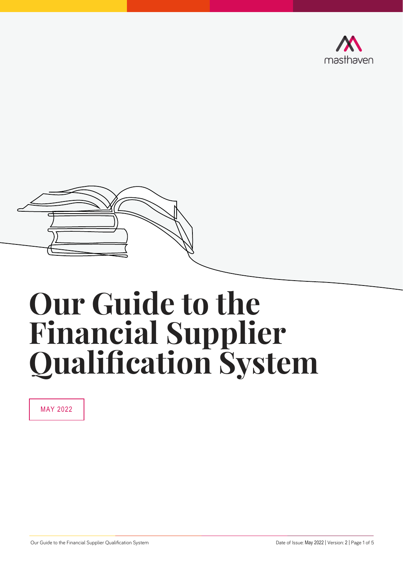



# **Our Guide to the Financial Supplier Qualification System**

MAY 2022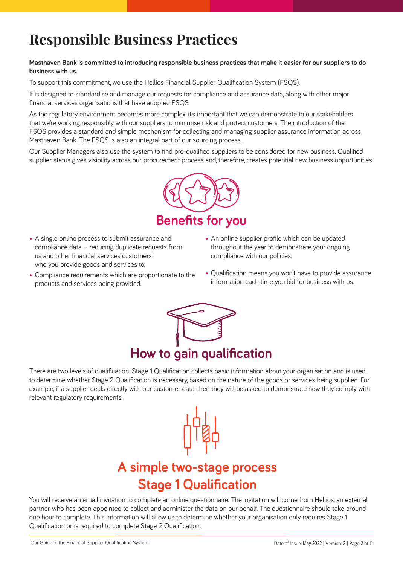## **Responsible Business Practices**

#### **Masthaven Bank is committed to introducing responsible business practices that make it easier for our suppliers to do business with us.**

To support this commitment, we use the Hellios Financial Supplier Qualification System (FSQS).

It is designed to standardise and manage our requests for compliance and assurance data, along with other major financial services organisations that have adopted FSQS.

As the regulatory environment becomes more complex, it's important that we can demonstrate to our stakeholders that we're working responsibly with our suppliers to minimise risk and protect customers. The introduction of the FSQS provides a standard and simple mechanism for collecting and managing supplier assurance information across Masthaven Bank. The FSQS is also an integral part of our sourcing process.

Our Supplier Managers also use the system to find pre-qualified suppliers to be considered for new business. Qualified supplier status gives visibility across our procurement process and, therefore, creates potential new business opportunities.



- A single online process to submit assurance and compliance data – reducing duplicate requests from us and other financial services customers who you provide goods and services to.
- Compliance requirements which are proportionate to the products and services being provided.
- An online supplier profile which can be updated throughout the year to demonstrate your ongoing compliance with our policies.
- Qualification means you won't have to provide assurance information each time you bid for business with us.



There are two levels of qualification. Stage 1 Qualification collects basic information about your organisation and is used to determine whether Stage 2 Qualification is necessary, based on the nature of the goods or services being supplied. For example, if a supplier deals directly with our customer data, then they will be asked to demonstrate how they comply with relevant regulatory requirements.

## **A simple two-stage process Stage 1 Qualification**

You will receive an email invitation to complete an online questionnaire. The invitation will come from Hellios, an external partner, who has been appointed to collect and administer the data on our behalf. The questionnaire should take around one hour to complete. This information will allow us to determine whether your organisation only requires Stage 1 Qualification or is required to complete Stage 2 Qualification.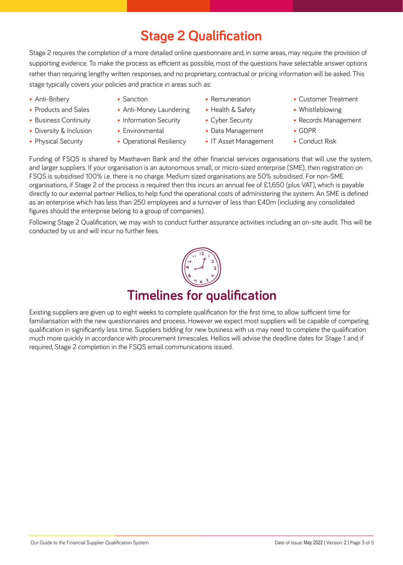### **Stage 2 Qualification**

Stage 2 requires the completion of a more detailed online questionnaire and, in some areas, may require the provision of supporting evidence. To make the process as efficient as possible, most of the questions have selectable answer options rather than requiring lengthy written responses, and no proprietary, contractual or pricing information will be asked. This stage typically covers your policies and practice in areas such as:

- Anti-Bribery
- Products and Sales
- Business Continuity
- Diversity & Inclusion
- Physical Security
- Sanction
- Anti-Money Laundering
- Information Security
- Environmental
- Operational Resiliency
- Remuneration
- Health & Safety
- Cyber Security
- Data Management
	- IT Asset Management
- Customer Treatment
- Whistleblowing
- Records Management
- GDPR
- Conduct Risk

Funding of FSQS is shared by Masthaven Bank and the other financial services organisations that will use the system, and larger suppliers. If your organisation is an autonomous small, or micro-sized enterprise (SME), then registration on FSQS is subsidised 100% i.e. there is no charge. Medium sized organisations are 50% subsidised. For non-SME organisations, if Stage 2 of the process is required then this incurs an annual fee of £1,650 (plus VAT), which is payable directly to our external partner Hellios, to help fund the operational costs of administering the system. An SME is defined as an enterprise which has less than 250 employees and a turnover of less than £40m (including any consolidated figures should the enterprise belong to a group of companies).

Following Stage 2 Qualification, we may wish to conduct further assurance activities including an on-site audit. This will be conducted by us and will incur no further fees.

## **Timelines for qualification**

Existing suppliers are given up to eight weeks to complete qualification for the first time, to allow sufficient time for familiarisation with the new questionnaires and process. However we expect most suppliers will be capable of competing qualification in significantly less time. Suppliers bidding for new business with us may need to complete the qualification much more quickly in accordance with procurement timescales. Hellios will advise the deadline dates for Stage 1 and, if required, Stage 2 completion in the FSQS email communications issued.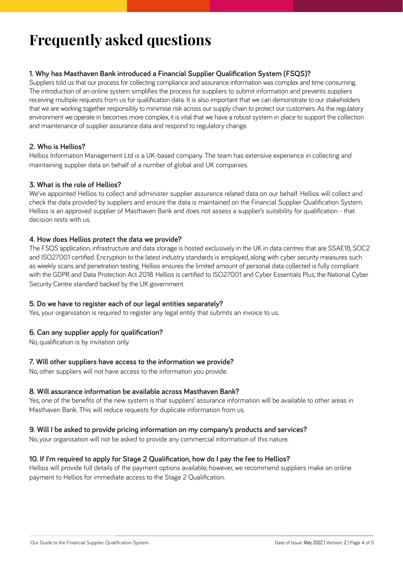## **Frequently asked questions**

#### **1. Why has Masthaven Bank introduced a Financial Supplier Qualification System (FSQS)?**

Suppliers told us that our process for collecting compliance and assurance information was complex and time consuming. The introduction of an online system simplifies the process for suppliers to submit information and prevents suppliers receiving multiple requests from us for qualification data. It is also important that we can demonstrate to our stakeholders that we are working together responsibly to minimise risk across our supply chain to protect our customers. As the regulatory environment we operate in becomes more complex, it is vital that we have a robust system in place to support the collection and maintenance of supplier assurance data and respond to regulatory change.

#### **2. Who is Hellios?**

Hellios Information Management Ltd is a UK-based company. The team has extensive experience in collecting and maintaining supplier data on behalf of a number of global and UK companies.

#### **3. What is the role of Hellios?**

We've appointed Hellios to collect and administer supplier assurance related data on our behalf. Hellios will collect and check the data provided by suppliers and ensure the data is maintained on the Financial Supplier Qualification System. Hellios is an approved supplier of Masthaven Bank and does not assess a supplier's suitability for qualification - that decision rests with us.

#### **4. How does Hellios protect the data we provide?**

The FSQS application, infrastructure and data storage is hosted exclusively in the UK in data centres that are SSAE18, SOC2 and ISO27001 certified. Encryption to the latest industry standards is employed, along with cyber security measures such as weekly scans and penetration testing. Hellios ensures the limited amount of personal data collected is fully compliant with the GDPR and Data Protection Act 2018. Hellios is certified to ISO27001 and Cyber Essentials Plus, the National Cyber Security Centre standard backed by the UK government.

#### **5. Do we have to register each of our legal entities separately?**

Yes, your organisation is required to register any legal entity that submits an invoice to us.

#### **6. Can any supplier apply for qualification?**

No, qualification is by invitation only.

#### **7. Will other suppliers have access to the information we provide?**

No, other suppliers will not have access to the information you provide.

#### **8. Will assurance information be available across Masthaven Bank?**

Yes, one of the benefits of the new system is that suppliers' assurance information will be available to other areas in Masthaven Bank. This will reduce requests for duplicate information from us.

#### **9. Will I be asked to provide pricing information on my company's products and services?**

No, your organisation will not be asked to provide any commercial information of this nature.

#### **10. If I'm required to apply for Stage 2 Qualification, how do I pay the fee to Hellios?**

Hellios will provide full details of the payment options available, however, we recommend suppliers make an online payment to Hellios for immediate access to the Stage 2 Qualification.